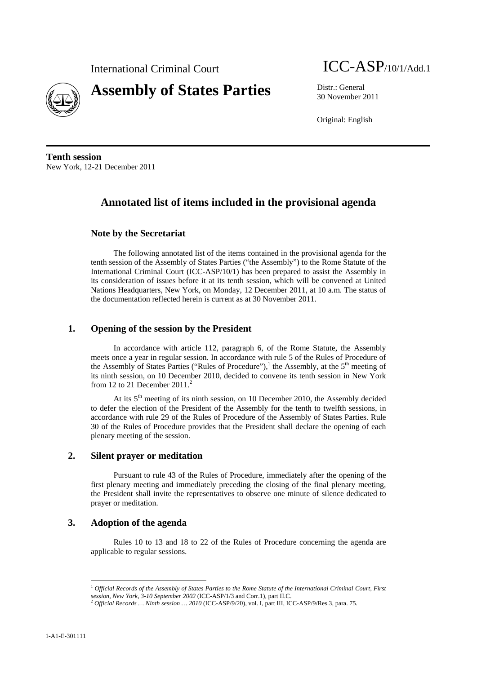



**Assembly of States Parties** Distr.: General 30 November 2011

Original: English

**Tenth session**  New York, 12-21 December 2011

# **Annotated list of items included in the provisional agenda**

## **Note by the Secretariat**

The following annotated list of the items contained in the provisional agenda for the tenth session of the Assembly of States Parties ("the Assembly") to the Rome Statute of the International Criminal Court (ICC-ASP/10/1) has been prepared to assist the Assembly in its consideration of issues before it at its tenth session, which will be convened at United Nations Headquarters, New York, on Monday, 12 December 2011, at 10 a.m. The status of the documentation reflected herein is current as at 30 November 2011.

### **1. Opening of the session by the President**

In accordance with article 112, paragraph 6, of the Rome Statute, the Assembly meets once a year in regular session. In accordance with rule 5 of the Rules of Procedure of the Assembly of States Parties ("Rules of Procedure"),<sup>1</sup> the Assembly, at the  $5<sup>th</sup>$  meeting of its ninth session, on 10 December 2010, decided to convene its tenth session in New York from 12 to 21 December  $2011<sup>2</sup>$ 

At its 5<sup>th</sup> meeting of its ninth session, on 10 December 2010, the Assembly decided to defer the election of the President of the Assembly for the tenth to twelfth sessions, in accordance with rule 29 of the Rules of Procedure of the Assembly of States Parties. Rule 30 of the Rules of Procedure provides that the President shall declare the opening of each plenary meeting of the session.

### **2. Silent prayer or meditation**

Pursuant to rule 43 of the Rules of Procedure, immediately after the opening of the first plenary meeting and immediately preceding the closing of the final plenary meeting, the President shall invite the representatives to observe one minute of silence dedicated to prayer or meditation.

## **3. Adoption of the agenda**

Rules 10 to 13 and 18 to 22 of the Rules of Procedure concerning the agenda are applicable to regular sessions.

<sup>1</sup> *Official Records of the Assembly of States Parties to the Rome Statute of the International Criminal Court, First session, New York, 3-10 September 2002* (ICC-ASP/1/3 and Corr.1), part II.C. 2 *Official Records … Ninth session … 2010* (ICC-ASP/9/20), vol. I, part III, ICC-ASP/9/Res.3, para. 75.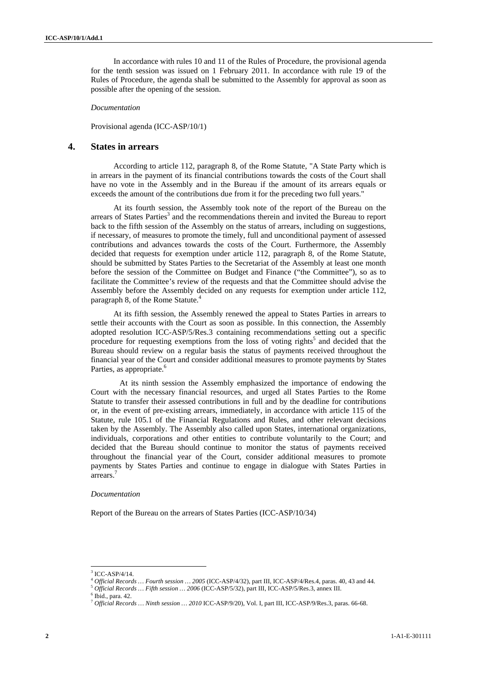In accordance with rules 10 and 11 of the Rules of Procedure, the provisional agenda for the tenth session was issued on 1 February 2011. In accordance with rule 19 of the Rules of Procedure, the agenda shall be submitted to the Assembly for approval as soon as possible after the opening of the session.

#### *Documentation*

Provisional agenda (ICC-ASP/10/1)

## **4. States in arrears**

According to article 112, paragraph 8, of the Rome Statute, "A State Party which is in arrears in the payment of its financial contributions towards the costs of the Court shall have no vote in the Assembly and in the Bureau if the amount of its arrears equals or exceeds the amount of the contributions due from it for the preceding two full years."

At its fourth session, the Assembly took note of the report of the Bureau on the arrears of States Parties<sup>3</sup> and the recommendations therein and invited the Bureau to report back to the fifth session of the Assembly on the status of arrears, including on suggestions, if necessary, of measures to promote the timely, full and unconditional payment of assessed contributions and advances towards the costs of the Court. Furthermore, the Assembly decided that requests for exemption under article 112, paragraph 8, of the Rome Statute, should be submitted by States Parties to the Secretariat of the Assembly at least one month before the session of the Committee on Budget and Finance ("the Committee"), so as to facilitate the Committee's review of the requests and that the Committee should advise the Assembly before the Assembly decided on any requests for exemption under article 112, paragraph 8, of the Rome Statute.<sup>4</sup>

At its fifth session, the Assembly renewed the appeal to States Parties in arrears to settle their accounts with the Court as soon as possible. In this connection, the Assembly adopted resolution ICC-ASP/5/Res.3 containing recommendations setting out a specific procedure for requesting exemptions from the loss of voting rights<sup>5</sup> and decided that the Bureau should review on a regular basis the status of payments received throughout the financial year of the Court and consider additional measures to promote payments by States Parties, as appropriate.<sup>6</sup>

At its ninth session the Assembly emphasized the importance of endowing the Court with the necessary financial resources, and urged all States Parties to the Rome Statute to transfer their assessed contributions in full and by the deadline for contributions or, in the event of pre-existing arrears, immediately, in accordance with article 115 of the Statute, rule 105.1 of the Financial Regulations and Rules, and other relevant decisions taken by the Assembly. The Assembly also called upon States, international organizations, individuals, corporations and other entities to contribute voluntarily to the Court; and decided that the Bureau should continue to monitor the status of payments received throughout the financial year of the Court, consider additional measures to promote payments by States Parties and continue to engage in dialogue with States Parties in arrears.7

#### *Documentation*

Report of the Bureau on the arrears of States Parties (ICC-ASP/10/34)

 $3$  ICC-ASP/4/14.

<sup>&</sup>lt;sup>4</sup> Official Records … Fourth session … 2005 (ICC-ASP/4/32), part III, ICC-ASP/4/Res.4, paras. 40, 43 and 44. <sup>5</sup> Official Records … Fifth session … 2006 (ICC-ASP/5/32), part III, ICC-ASP/5/Res.3, annex III.

Ibid., para. 42.

<sup>7</sup> *Official Records … Ninth session … 2010* ICC-ASP/9/20), Vol. I, part III, ICC-ASP/9/Res.3, paras. 66-68.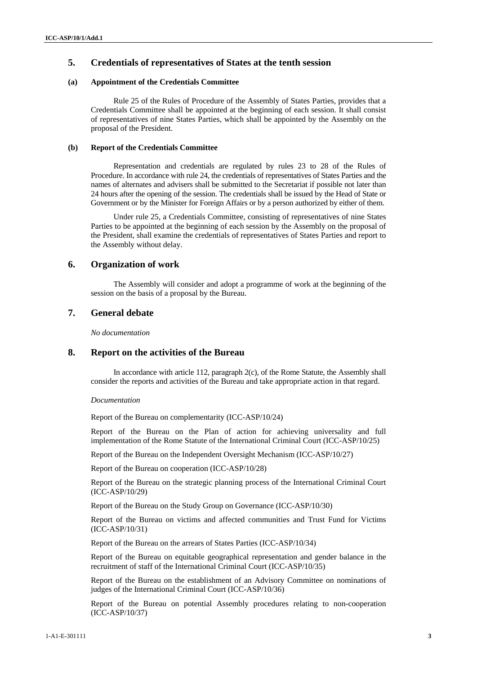## **5. Credentials of representatives of States at the tenth session**

#### **(a) Appointment of the Credentials Committee**

Rule 25 of the Rules of Procedure of the Assembly of States Parties, provides that a Credentials Committee shall be appointed at the beginning of each session. It shall consist of representatives of nine States Parties, which shall be appointed by the Assembly on the proposal of the President.

#### **(b) Report of the Credentials Committee**

Representation and credentials are regulated by rules 23 to 28 of the Rules of Procedure. In accordance with rule 24, the credentials of representatives of States Parties and the names of alternates and advisers shall be submitted to the Secretariat if possible not later than 24 hours after the opening of the session. The credentials shall be issued by the Head of State or Government or by the Minister for Foreign Affairs or by a person authorized by either of them.

Under rule 25, a Credentials Committee, consisting of representatives of nine States Parties to be appointed at the beginning of each session by the Assembly on the proposal of the President, shall examine the credentials of representatives of States Parties and report to the Assembly without delay.

### **6. Organization of work**

The Assembly will consider and adopt a programme of work at the beginning of the session on the basis of a proposal by the Bureau.

### **7. General debate**

*No documentation* 

### **8. Report on the activities of the Bureau**

In accordance with article 112, paragraph 2(c), of the Rome Statute, the Assembly shall consider the reports and activities of the Bureau and take appropriate action in that regard.

#### *Documentation*

Report of the Bureau on complementarity (ICC-ASP/10/24)

Report of the Bureau on the Plan of action for achieving universality and full implementation of the Rome Statute of the International Criminal Court (ICC-ASP/10/25)

Report of the Bureau on the Independent Oversight Mechanism (ICC-ASP/10/27)

Report of the Bureau on cooperation (ICC-ASP/10/28)

Report of the Bureau on the strategic planning process of the International Criminal Court (ICC-ASP/10/29)

Report of the Bureau on the Study Group on Governance (ICC-ASP/10/30)

Report of the Bureau on victims and affected communities and Trust Fund for Victims (ICC-ASP/10/31)

Report of the Bureau on the arrears of States Parties (ICC-ASP/10/34)

Report of the Bureau on equitable geographical representation and gender balance in the recruitment of staff of the International Criminal Court (ICC-ASP/10/35)

Report of the Bureau on the establishment of an Advisory Committee on nominations of judges of the International Criminal Court (ICC-ASP/10/36)

Report of the Bureau on potential Assembly procedures relating to non-cooperation (ICC-ASP/10/37)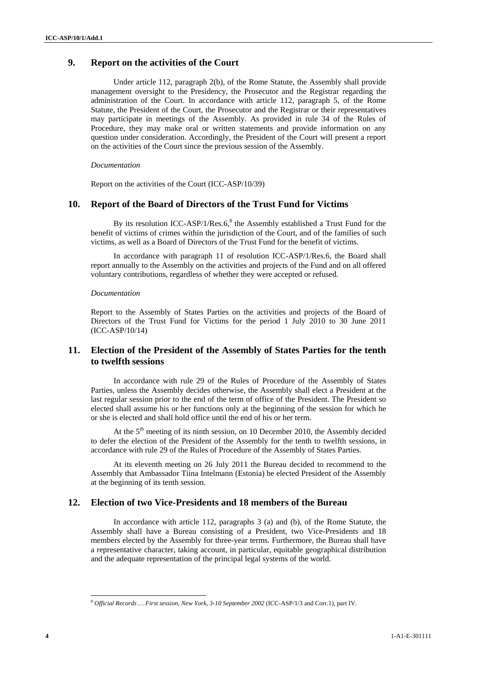## **9. Report on the activities of the Court**

Under article 112, paragraph 2(b), of the Rome Statute, the Assembly shall provide management oversight to the Presidency, the Prosecutor and the Registrar regarding the administration of the Court. In accordance with article 112, paragraph 5, of the Rome Statute, the President of the Court, the Prosecutor and the Registrar or their representatives may participate in meetings of the Assembly. As provided in rule 34 of the Rules of Procedure, they may make oral or written statements and provide information on any question under consideration. Accordingly, the President of the Court will present a report on the activities of the Court since the previous session of the Assembly.

#### *Documentation*

Report on the activities of the Court (ICC-ASP/10/39)

## **10. Report of the Board of Directors of the Trust Fund for Victims**

By its resolution ICC-ASP/1/Res.6, $8$  the Assembly established a Trust Fund for the benefit of victims of crimes within the jurisdiction of the Court, and of the families of such victims, as well as a Board of Directors of the Trust Fund for the benefit of victims.

In accordance with paragraph 11 of resolution ICC-ASP/1/Res.6, the Board shall report annually to the Assembly on the activities and projects of the Fund and on all offered voluntary contributions, regardless of whether they were accepted or refused.

#### *Documentation*

Report to the Assembly of States Parties on the activities and projects of the Board of Directors of the Trust Fund for Victims for the period 1 July 2010 to 30 June 2011 (ICC-ASP/10/14)

### **11. Election of the President of the Assembly of States Parties for the tenth to twelfth sessions**

In accordance with rule 29 of the Rules of Procedure of the Assembly of States Parties, unless the Assembly decides otherwise, the Assembly shall elect a President at the last regular session prior to the end of the term of office of the President. The President so elected shall assume his or her functions only at the beginning of the session for which he or she is elected and shall hold office until the end of his or her term.

At the  $5<sup>th</sup>$  meeting of its ninth session, on 10 December 2010, the Assembly decided to defer the election of the President of the Assembly for the tenth to twelfth sessions, in accordance with rule 29 of the Rules of Procedure of the Assembly of States Parties.

At its eleventh meeting on 26 July 2011 the Bureau decided to recommend to the Assembly that Ambassador Tiina Intelmann (Estonia) be elected President of the Assembly at the beginning of its tenth session.

## **12. Election of two Vice-Presidents and 18 members of the Bureau**

In accordance with article 112, paragraphs 3 (a) and (b), of the Rome Statute, the Assembly shall have a Bureau consisting of a President, two Vice-Presidents and 18 members elected by the Assembly for three-year terms. Furthermore, the Bureau shall have a representative character, taking account, in particular, equitable geographical distribution and the adequate representation of the principal legal systems of the world.

l <sup>8</sup> *Official Records … First session, New York, 3-10 September 2002* (ICC-ASP/1/3 and Corr.1), part IV.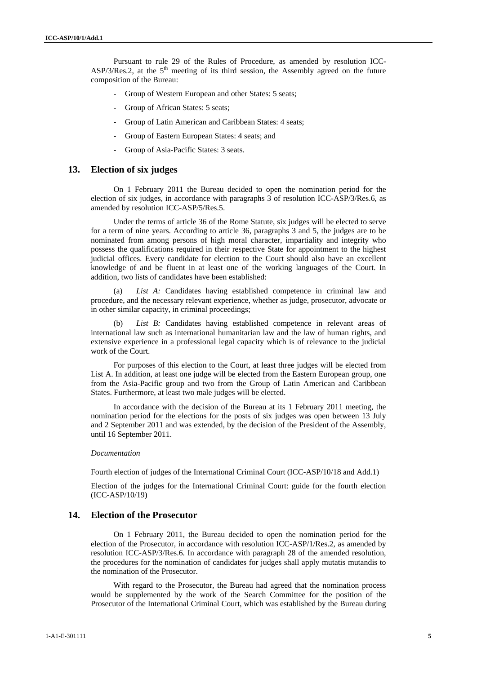Pursuant to rule 29 of the Rules of Procedure, as amended by resolution ICC-ASP/3/Res.2, at the  $5<sup>th</sup>$  meeting of its third session, the Assembly agreed on the future composition of the Bureau:

- **-** Group of Western European and other States: 5 seats;
- **-** Group of African States: 5 seats;
- **-** Group of Latin American and Caribbean States: 4 seats;
- **-** Group of Eastern European States: 4 seats; and
- **-** Group of Asia-Pacific States: 3 seats.

### **13. Election of six judges**

On 1 February 2011 the Bureau decided to open the nomination period for the election of six judges, in accordance with paragraphs 3 of resolution ICC-ASP/3/Res.6, as amended by resolution ICC-ASP/5/Res.5.

Under the terms of article 36 of the Rome Statute, six judges will be elected to serve for a term of nine years. According to article 36, paragraphs 3 and 5, the judges are to be nominated from among persons of high moral character, impartiality and integrity who possess the qualifications required in their respective State for appointment to the highest judicial offices. Every candidate for election to the Court should also have an excellent knowledge of and be fluent in at least one of the working languages of the Court. In addition, two lists of candidates have been established:

(a) *List A:* Candidates having established competence in criminal law and procedure, and the necessary relevant experience, whether as judge, prosecutor, advocate or in other similar capacity, in criminal proceedings;

List B: Candidates having established competence in relevant areas of international law such as international humanitarian law and the law of human rights, and extensive experience in a professional legal capacity which is of relevance to the judicial work of the Court.

For purposes of this election to the Court, at least three judges will be elected from List A. In addition, at least one judge will be elected from the Eastern European group, one from the Asia-Pacific group and two from the Group of Latin American and Caribbean States. Furthermore, at least two male judges will be elected.

In accordance with the decision of the Bureau at its 1 February 2011 meeting, the nomination period for the elections for the posts of six judges was open between 13 July and 2 September 2011 and was extended, by the decision of the President of the Assembly, until 16 September 2011.

#### *Documentation*

Fourth election of judges of the International Criminal Court (ICC-ASP/10/18 and Add.1)

Election of the judges for the International Criminal Court: guide for the fourth election (ICC-ASP/10/19)

### **14. Election of the Prosecutor**

On 1 February 2011, the Bureau decided to open the nomination period for the election of the Prosecutor, in accordance with resolution ICC-ASP/1/Res.2, as amended by resolution ICC-ASP/3/Res.6. In accordance with paragraph 28 of the amended resolution, the procedures for the nomination of candidates for judges shall apply mutatis mutandis to the nomination of the Prosecutor.

With regard to the Prosecutor, the Bureau had agreed that the nomination process would be supplemented by the work of the Search Committee for the position of the Prosecutor of the International Criminal Court, which was established by the Bureau during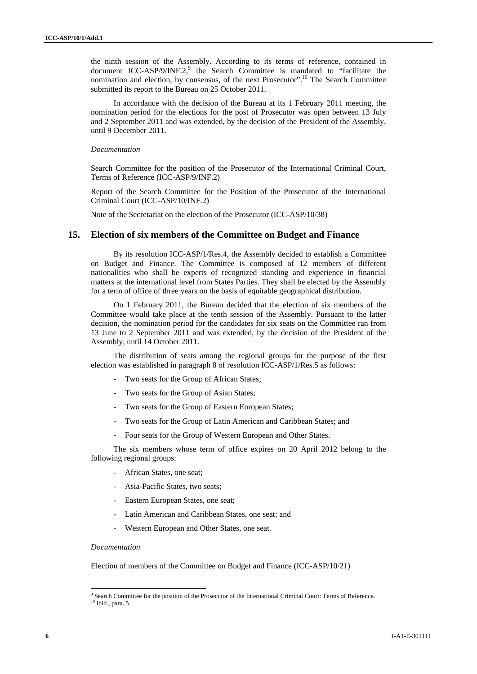the ninth session of the Assembly. According to its terms of reference, contained in document ICC-ASP/9/INF.2, $9$  the Search Committee is mandated to "facilitate the nomination and election, by consensus, of the next Prosecutor".<sup>10</sup> The Search Committee submitted its report to the Bureau on 25 October 2011.

In accordance with the decision of the Bureau at its 1 February 2011 meeting, the nomination period for the elections for the post of Prosecutor was open between 13 July and 2 September 2011 and was extended, by the decision of the President of the Assembly, until 9 December 2011.

#### *Documentation*

Search Committee for the position of the Prosecutor of the International Criminal Court, Terms of Reference (ICC-ASP/9/INF.2)

Report of the Search Committee for the Position of the Prosecutor of the International Criminal Court (ICC-ASP/10/INF.2)

Note of the Secretariat on the election of the Prosecutor (ICC-ASP/10/38)

### **15. Election of six members of the Committee on Budget and Finance**

By its resolution ICC-ASP/1/Res.4, the Assembly decided to establish a Committee on Budget and Finance. The Committee is composed of 12 members of different nationalities who shall be experts of recognized standing and experience in financial matters at the international level from States Parties. They shall be elected by the Assembly for a term of office of three years on the basis of equitable geographical distribution.

On 1 February 2011, the Bureau decided that the election of six members of the Committee would take place at the tenth session of the Assembly. Pursuant to the latter decision, the nomination period for the candidates for six seats on the Committee ran from 13 June to 2 September 2011 and was extended, by the decision of the President of the Assembly, until 14 October 2011.

The distribution of seats among the regional groups for the purpose of the first election was established in paragraph 8 of resolution ICC-ASP/1/Res.5 as follows:

- Two seats for the Group of African States;
- Two seats for the Group of Asian States:
- Two seats for the Group of Eastern European States;
- Two seats for the Group of Latin American and Caribbean States; and
- Four seats for the Group of Western European and Other States.

The six members whose term of office expires on 20 April 2012 belong to the following regional groups:

- African States, one seat;
- Asia-Pacific States, two seats;
- Eastern European States, one seat;
- Latin American and Caribbean States, one seat; and
- Western European and Other States, one seat.

#### *Documentation*

 $\overline{a}$ 

Election of members of the Committee on Budget and Finance (ICC-ASP/10/21)

<sup>&</sup>lt;sup>9</sup> Search Committee for the position of the Prosecutor of the International Criminal Court: Terms of Reference. <sup>10</sup> Ibid., para. 5.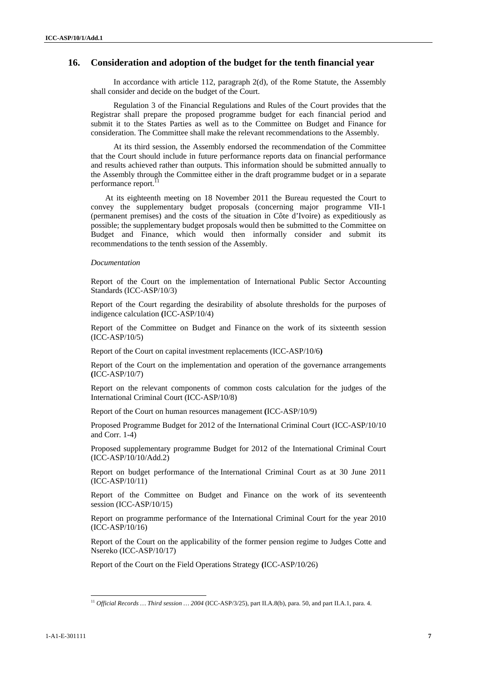## **16. Consideration and adoption of the budget for the tenth financial year**

In accordance with article 112, paragraph 2(d), of the Rome Statute, the Assembly shall consider and decide on the budget of the Court.

Regulation 3 of the Financial Regulations and Rules of the Court provides that the Registrar shall prepare the proposed programme budget for each financial period and submit it to the States Parties as well as to the Committee on Budget and Finance for consideration. The Committee shall make the relevant recommendations to the Assembly.

At its third session, the Assembly endorsed the recommendation of the Committee that the Court should include in future performance reports data on financial performance and results achieved rather than outputs. This information should be submitted annually to the Assembly through the Committee either in the draft programme budget or in a separate performance report.<sup>11</sup>

At its eighteenth meeting on 18 November 2011 the Bureau requested the Court to convey the supplementary budget proposals (concerning major programme VII-1 (permanent premises) and the costs of the situation in Côte d'Ivoire) as expeditiously as possible; the supplementary budget proposals would then be submitted to the Committee on Budget and Finance, which would then informally consider and submit its recommendations to the tenth session of the Assembly.

#### *Documentation*

Report of the Court on the implementation of International Public Sector Accounting Standards (ICC-ASP/10/3)

Report of the Court regarding the desirability of absolute thresholds for the purposes of indigence calculation **(**ICC-ASP/10/4)

Report of the Committee on Budget and Finance on the work of its sixteenth session (ICC-ASP/10/5)

Report of the Court on capital investment replacements (ICC-ASP/10/6**)** 

Report of the Court on the implementation and operation of the governance arrangements **(**ICC-ASP/10/7)

Report on the relevant components of common costs calculation for the judges of the International Criminal Court (ICC-ASP/10/8)

Report of the Court on human resources management **(**ICC-ASP/10/9)

Proposed Programme Budget for 2012 of the International Criminal Court (ICC-ASP/10/10 and Corr. 1-4)

Proposed supplementary programme Budget for 2012 of the International Criminal Court (ICC-ASP/10/10/Add.2)

Report on budget performance of the International Criminal Court as at 30 June 2011 (ICC-ASP/10/11)

Report of the Committee on Budget and Finance on the work of its seventeenth session (ICC-ASP/10/15)

Report on programme performance of the International Criminal Court for the year 2010 (ICC-ASP/10/16)

Report of the Court on the applicability of the former pension regime to Judges Cotte and Nsereko (ICC-ASP/10/17)

Report of the Court on the Field Operations Strategy **(**ICC-ASP/10/26)

<sup>11</sup> *Official Records … Third session … 2004* (ICC-ASP/3/25), part II.A.8(b), para. 50, and part II.A.1, para. 4.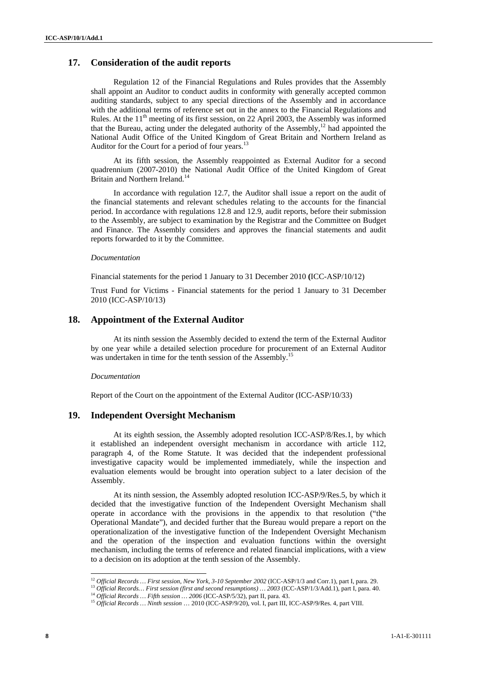### **17. Consideration of the audit reports**

Regulation 12 of the Financial Regulations and Rules provides that the Assembly shall appoint an Auditor to conduct audits in conformity with generally accepted common auditing standards, subject to any special directions of the Assembly and in accordance with the additional terms of reference set out in the annex to the Financial Regulations and Rules. At the  $11<sup>th</sup>$  meeting of its first session, on 22 April 2003, the Assembly was informed that the Bureau, acting under the delegated authority of the Assembly,<sup>12</sup> had appointed the National Audit Office of the United Kingdom of Great Britain and Northern Ireland as Auditor for the Court for a period of four years.<sup>13</sup>

At its fifth session, the Assembly reappointed as External Auditor for a second quadrennium (2007-2010) the National Audit Office of the United Kingdom of Great Britain and Northern Ireland.<sup>14</sup>

In accordance with regulation 12.7, the Auditor shall issue a report on the audit of the financial statements and relevant schedules relating to the accounts for the financial period. In accordance with regulations 12.8 and 12.9, audit reports, before their submission to the Assembly, are subject to examination by the Registrar and the Committee on Budget and Finance. The Assembly considers and approves the financial statements and audit reports forwarded to it by the Committee.

#### *Documentation*

Financial statements for the period 1 January to 31 December 2010 **(**ICC-ASP/10/12)

Trust Fund for Victims - Financial statements for the period 1 January to 31 December 2010 (ICC-ASP/10/13)

## **18. Appointment of the External Auditor**

At its ninth session the Assembly decided to extend the term of the External Auditor by one year while a detailed selection procedure for procurement of an External Auditor was undertaken in time for the tenth session of the Assembly.<sup>15</sup>

#### *Documentation*

Report of the Court on the appointment of the External Auditor (ICC-ASP/10/33)

### **19. Independent Oversight Mechanism**

At its eighth session, the Assembly adopted resolution ICC-ASP/8/Res.1, by which it established an independent oversight mechanism in accordance with article 112, paragraph 4, of the Rome Statute. It was decided that the independent professional investigative capacity would be implemented immediately, while the inspection and evaluation elements would be brought into operation subject to a later decision of the Assembly.

At its ninth session, the Assembly adopted resolution ICC-ASP/9/Res.5, by which it decided that the investigative function of the Independent Oversight Mechanism shall operate in accordance with the provisions in the appendix to that resolution ("the Operational Mandate"), and decided further that the Bureau would prepare a report on the operationalization of the investigative function of the Independent Oversight Mechanism and the operation of the inspection and evaluation functions within the oversight mechanism, including the terms of reference and related financial implications, with a view to a decision on its adoption at the tenth session of the Assembly.

 $\overline{a}$ 

<sup>&</sup>lt;sup>12</sup> Official Records ... First session, New York, 3-10 September 2002 (ICC-ASP/1/3 and Corr.1), part I, para. 29.<br><sup>13</sup> Official Records... First session (first and second resumptions) ... 2003 (ICC-ASP/1/3/Add.1), part I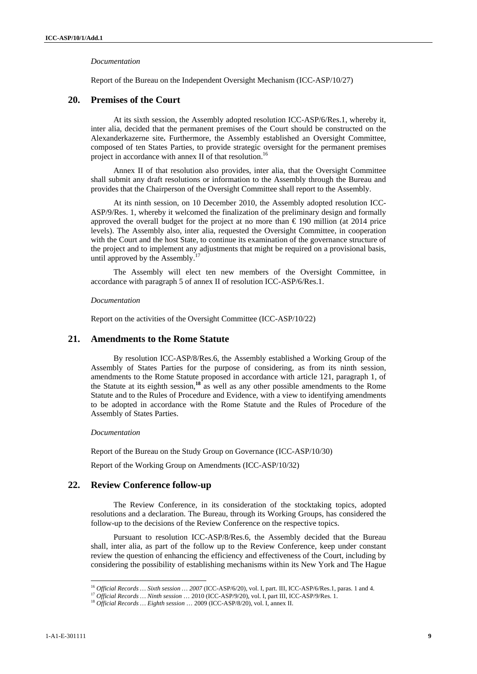#### *Documentation*

Report of the Bureau on the Independent Oversight Mechanism (ICC-ASP/10/27)

### **20. Premises of the Court**

At its sixth session, the Assembly adopted resolution ICC-ASP/6/Res.1, whereby it, inter alia, decided that the permanent premises of the Court should be constructed on the Alexanderkazerne site**.** Furthermore, the Assembly established an Oversight Committee, composed of ten States Parties, to provide strategic oversight for the permanent premises project in accordance with annex II of that resolution.<sup>16</sup>

Annex II of that resolution also provides, inter alia, that the Oversight Committee shall submit any draft resolutions or information to the Assembly through the Bureau and provides that the Chairperson of the Oversight Committee shall report to the Assembly.

At its ninth session, on 10 December 2010, the Assembly adopted resolution ICC-ASP/9/Res. 1, whereby it welcomed the finalization of the preliminary design and formally approved the overall budget for the project at no more than  $\epsilon$  190 million (at 2014 price levels). The Assembly also, inter alia, requested the Oversight Committee, in cooperation with the Court and the host State, to continue its examination of the governance structure of the project and to implement any adjustments that might be required on a provisional basis, until approved by the Assembly.<sup>17</sup>

The Assembly will elect ten new members of the Oversight Committee, in accordance with paragraph 5 of annex II of resolution ICC-ASP/6/Res.1.

#### *Documentation*

Report on the activities of the Oversight Committee (ICC-ASP/10/22)

### **21. Amendments to the Rome Statute**

By resolution ICC-ASP/8/Res.6, the Assembly established a Working Group of the Assembly of States Parties for the purpose of considering, as from its ninth session, amendments to the Rome Statute proposed in accordance with article 121, paragraph 1, of the Statute at its eighth session,**<sup>18</sup>** as well as any other possible amendments to the Rome Statute and to the Rules of Procedure and Evidence, with a view to identifying amendments to be adopted in accordance with the Rome Statute and the Rules of Procedure of the Assembly of States Parties.

*Documentation* 

Report of the Bureau on the Study Group on Governance (ICC-ASP/10/30)

Report of the Working Group on Amendments (ICC-ASP/10/32)

### **22. Review Conference follow-up**

The Review Conference, in its consideration of the stocktaking topics, adopted resolutions and a declaration. The Bureau, through its Working Groups, has considered the follow-up to the decisions of the Review Conference on the respective topics.

Pursuant to resolution ICC-ASP/8/Res.6, the Assembly decided that the Bureau shall, inter alia, as part of the follow up to the Review Conference, keep under constant review the question of enhancing the efficiency and effectiveness of the Court, including by considering the possibility of establishing mechanisms within its New York and The Hague

<sup>&</sup>lt;sup>16</sup> Official Records ... Sixth session ... 2007 (ICC-ASP/6/20), vol. I, part. III, ICC-ASP/6/Res.1, paras. 1 and 4.<br><sup>17</sup> Official Records ... Ninth session ... 2010 (ICC-ASP/9/20), vol. I, part III, ICC-ASP/9/Res. 1.<br><sup>18</sup>